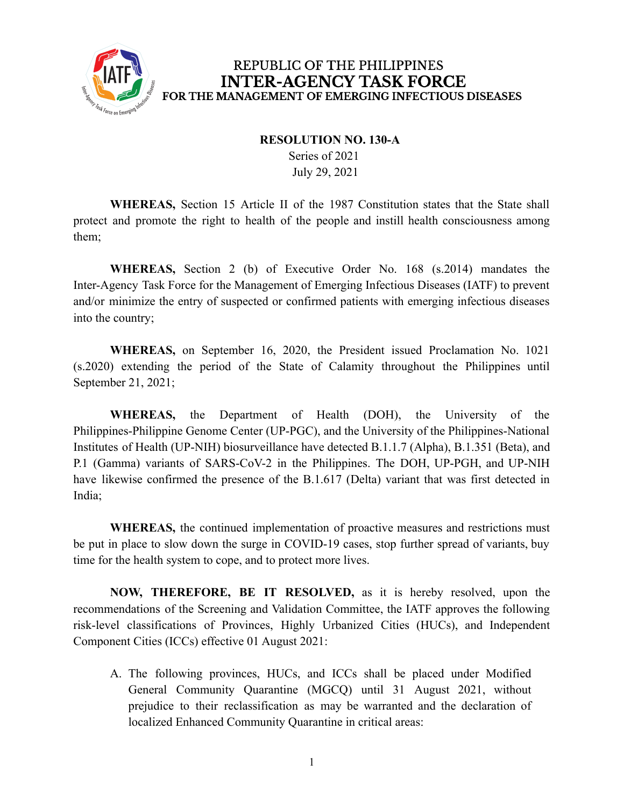

#### **RESOLUTION NO. 130-A**

Series of 2021 July 29, 2021

**WHEREAS,** Section 15 Article II of the 1987 Constitution states that the State shall protect and promote the right to health of the people and instill health consciousness among them;

**WHEREAS,** Section 2 (b) of Executive Order No. 168 (s.2014) mandates the Inter-Agency Task Force for the Management of Emerging Infectious Diseases (IATF) to prevent and/or minimize the entry of suspected or confirmed patients with emerging infectious diseases into the country;

**WHEREAS,** on September 16, 2020, the President issued Proclamation No. 1021 (s.2020) extending the period of the State of Calamity throughout the Philippines until September 21, 2021;

**WHEREAS,** the Department of Health (DOH), the University of the Philippines-Philippine Genome Center (UP-PGC), and the University of the Philippines-National Institutes of Health (UP-NIH) biosurveillance have detected B.1.1.7 (Alpha), B.1.351 (Beta), and P.1 (Gamma) variants of SARS-CoV-2 in the Philippines. The DOH, UP-PGH, and UP-NIH have likewise confirmed the presence of the B.1.617 (Delta) variant that was first detected in India;

**WHEREAS,** the continued implementation of proactive measures and restrictions must be put in place to slow down the surge in COVID-19 cases, stop further spread of variants, buy time for the health system to cope, and to protect more lives.

**NOW, THEREFORE, BE IT RESOLVED,** as it is hereby resolved, upon the recommendations of the Screening and Validation Committee, the IATF approves the following risk-level classifications of Provinces, Highly Urbanized Cities (HUCs), and Independent Component Cities (ICCs) effective 01 August 2021:

A. The following provinces, HUCs, and ICCs shall be placed under Modified General Community Quarantine (MGCQ) until 31 August 2021, without prejudice to their reclassification as may be warranted and the declaration of localized Enhanced Community Quarantine in critical areas: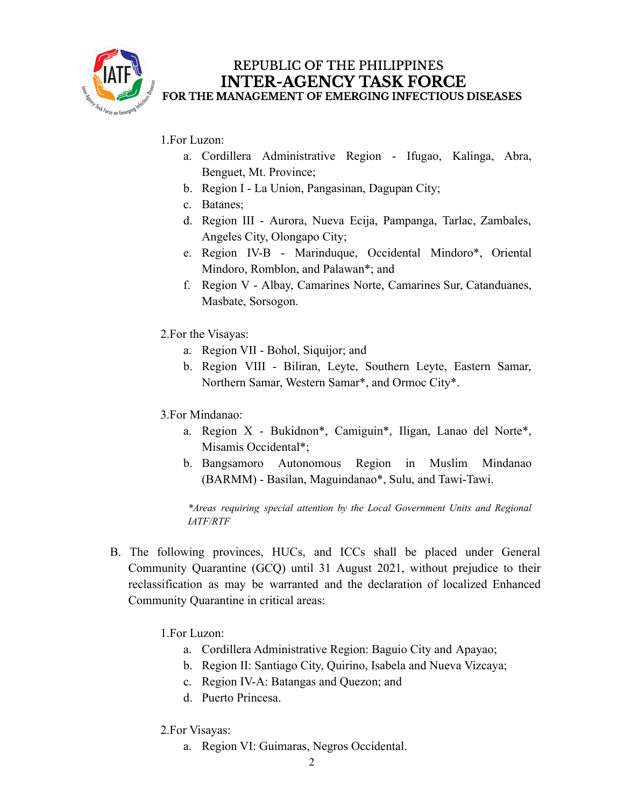

### 1.For Luzon:

- a. Cordillera Administrative Region Ifugao, Kalinga, Abra, Benguet, Mt. Province;
- b. Region I La Union, Pangasinan, Dagupan City;
- c. Batanes;
- d. Region III Aurora, Nueva Ecija, Pampanga, Tarlac, Zambales, Angeles City, Olongapo City;
- e. Region IV-B Marinduque, Occidental Mindoro\*, Oriental Mindoro, Romblon, and Palawan\*; and
- f. Region V Albay, Camarines Norte, Camarines Sur, Catanduanes, Masbate, Sorsogon.
- 2.For the Visayas:
	- a. Region VII Bohol, Siquijor; and
	- b. Region VIII Biliran, Leyte, Southern Leyte, Eastern Samar, Northern Samar, Western Samar\*, and Ormoc City\*.
- 3.For Mindanao:
	- a. Region X Bukidnon\*, Camiguin\*, Iligan, Lanao del Norte\*, Misamis Occidental\*;
	- b. Bangsamoro Autonomous Region in Muslim Mindanao (BARMM) - Basilan, Maguindanao\*, Sulu, and Tawi-Tawi.

*\*Areas requiring special attention by the Local Government Units and Regional IATF/RTF*

- B. The following provinces, HUCs, and ICCs shall be placed under General Community Quarantine (GCQ) until 31 August 2021, without prejudice to their reclassification as may be warranted and the declaration of localized Enhanced Community Quarantine in critical areas:
	- 1.For Luzon:
		- a. Cordillera Administrative Region: Baguio City and Apayao;
		- b. Region II: Santiago City, Quirino, Isabela and Nueva Vizcaya;
		- c. Region IV-A: Batangas and Quezon; and
		- d. Puerto Princesa.
	- 2.For Visayas:
		- a. Region VI: Guimaras, Negros Occidental.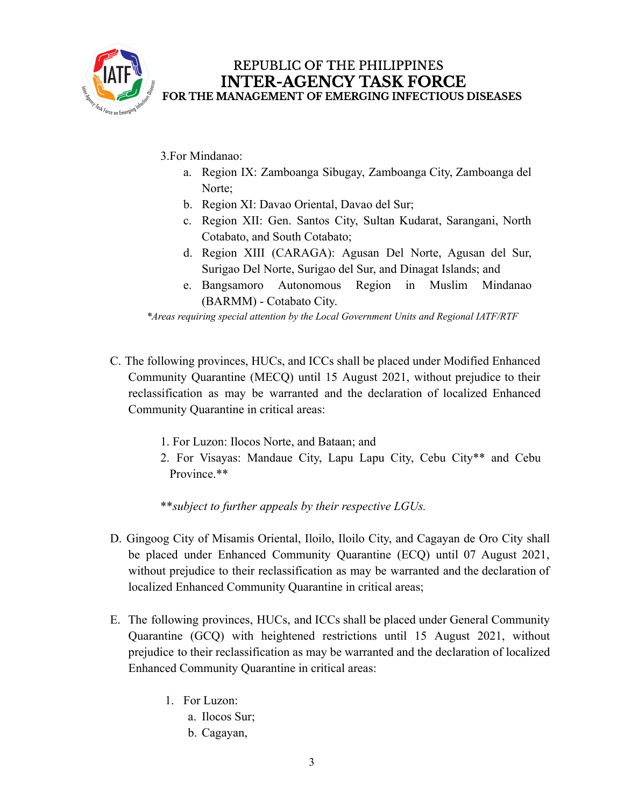

3.For Mindanao:

- a. Region IX: Zamboanga Sibugay, Zamboanga City, Zamboanga del Norte;
- b. Region XI: Davao Oriental, Davao del Sur;
- c. Region XII: Gen. Santos City, Sultan Kudarat, Sarangani, North Cotabato, and South Cotabato;
- d. Region XIII (CARAGA): Agusan Del Norte, Agusan del Sur, Surigao Del Norte, Surigao del Sur, and Dinagat Islands; and
- e. Bangsamoro Autonomous Region in Muslim Mindanao (BARMM) - Cotabato City.

*\*Areas requiring special attention by the Local Government Units and Regional IATF/RTF*

- C. The following provinces, HUCs, and ICCs shall be placed under Modified Enhanced Community Quarantine (MECQ) until 15 August 2021, without prejudice to their reclassification as may be warranted and the declaration of localized Enhanced Community Quarantine in critical areas:
	- 1. For Luzon: Ilocos Norte, and Bataan; and
	- 2. For Visayas: Mandaue City, Lapu Lapu City, Cebu City\*\* and Cebu Province.\*\*

\*\**subject to further appeals by their respective LGUs.*

- D. Gingoog City of Misamis Oriental, Iloilo, Iloilo City, and Cagayan de Oro City shall be placed under Enhanced Community Quarantine (ECQ) until 07 August 2021, without prejudice to their reclassification as may be warranted and the declaration of localized Enhanced Community Quarantine in critical areas;
- E. The following provinces, HUCs, and ICCs shall be placed under General Community Quarantine (GCQ) with heightened restrictions until 15 August 2021, without prejudice to their reclassification as may be warranted and the declaration of localized Enhanced Community Quarantine in critical areas:
	- 1. For Luzon:
		- a. Ilocos Sur;
		- b. Cagayan,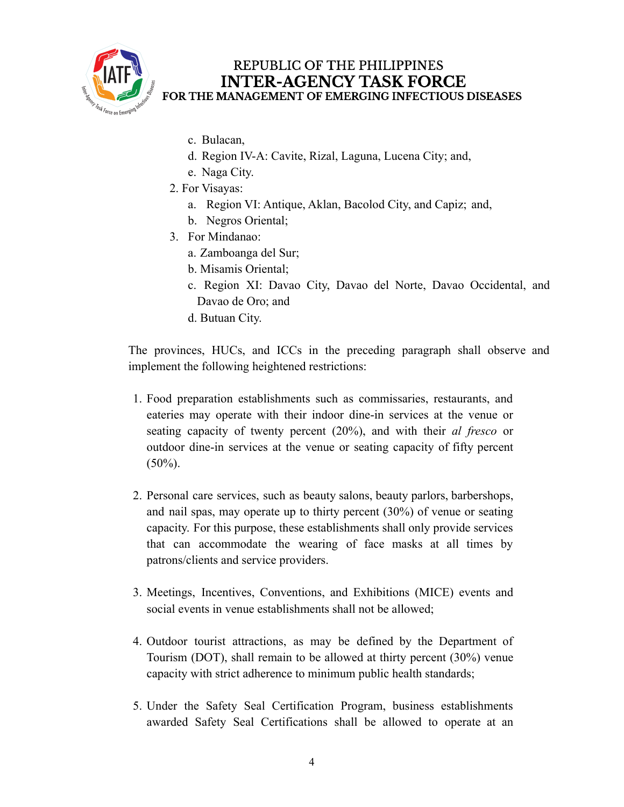

- c. Bulacan,
- d. Region IV-A: Cavite, Rizal, Laguna, Lucena City; and,
- e. Naga City.
- 2. For Visayas:
	- a. Region VI: Antique, Aklan, Bacolod City, and Capiz; and,
	- b. Negros Oriental;
- 3. For Mindanao:
	- a. Zamboanga del Sur;
	- b. Misamis Oriental;
	- c. Region XI: Davao City, Davao del Norte, Davao Occidental, and Davao de Oro; and
	- d. Butuan City.

The provinces, HUCs, and ICCs in the preceding paragraph shall observe and implement the following heightened restrictions:

- 1. Food preparation establishments such as commissaries, restaurants, and eateries may operate with their indoor dine-in services at the venue or seating capacity of twenty percent (20%), and with their *al fresco* or outdoor dine-in services at the venue or seating capacity of fifty percent  $(50\%)$ .
- 2. Personal care services, such as beauty salons, beauty parlors, barbershops, and nail spas, may operate up to thirty percent (30%) of venue or seating capacity. For this purpose, these establishments shall only provide services that can accommodate the wearing of face masks at all times by patrons/clients and service providers.
- 3. Meetings, Incentives, Conventions, and Exhibitions (MICE) events and social events in venue establishments shall not be allowed;
- 4. Outdoor tourist attractions, as may be defined by the Department of Tourism (DOT), shall remain to be allowed at thirty percent (30%) venue capacity with strict adherence to minimum public health standards;
- 5. Under the Safety Seal Certification Program, business establishments awarded Safety Seal Certifications shall be allowed to operate at an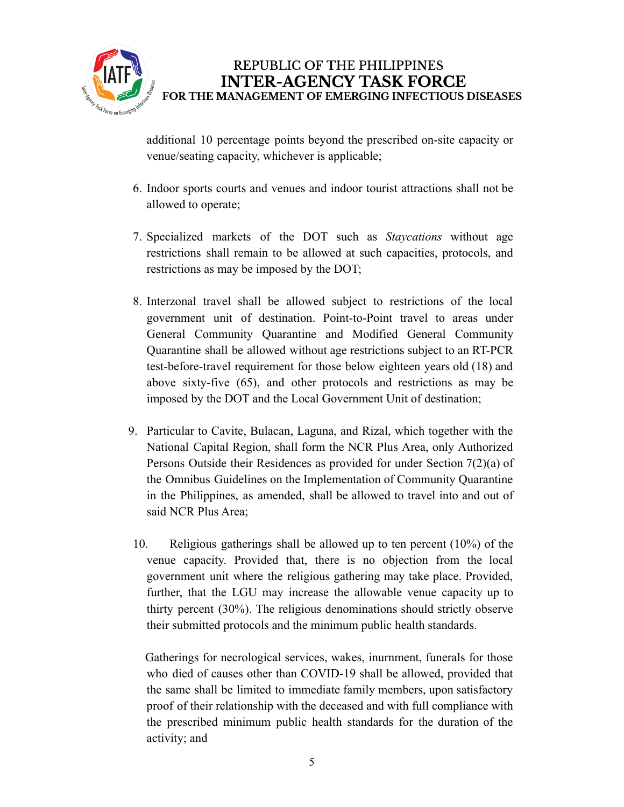

additional 10 percentage points beyond the prescribed on-site capacity or venue/seating capacity, whichever is applicable;

- 6. Indoor sports courts and venues and indoor tourist attractions shall not be allowed to operate;
- 7. Specialized markets of the DOT such as *Staycations* without age restrictions shall remain to be allowed at such capacities, protocols, and restrictions as may be imposed by the DOT;
- 8. Interzonal travel shall be allowed subject to restrictions of the local government unit of destination. Point-to-Point travel to areas under General Community Quarantine and Modified General Community Quarantine shall be allowed without age restrictions subject to an RT-PCR test-before-travel requirement for those below eighteen years old (18) and above sixty-five (65), and other protocols and restrictions as may be imposed by the DOT and the Local Government Unit of destination;
- 9. Particular to Cavite, Bulacan, Laguna, and Rizal, which together with the National Capital Region, shall form the NCR Plus Area, only Authorized Persons Outside their Residences as provided for under Section 7(2)(a) of the Omnibus Guidelines on the Implementation of Community Quarantine in the Philippines, as amended, shall be allowed to travel into and out of said NCR Plus Area;
- 10. Religious gatherings shall be allowed up to ten percent (10%) of the venue capacity. Provided that, there is no objection from the local government unit where the religious gathering may take place. Provided, further, that the LGU may increase the allowable venue capacity up to thirty percent (30%). The religious denominations should strictly observe their submitted protocols and the minimum public health standards.

Gatherings for necrological services, wakes, inurnment, funerals for those who died of causes other than COVID-19 shall be allowed, provided that the same shall be limited to immediate family members, upon satisfactory proof of their relationship with the deceased and with full compliance with the prescribed minimum public health standards for the duration of the activity; and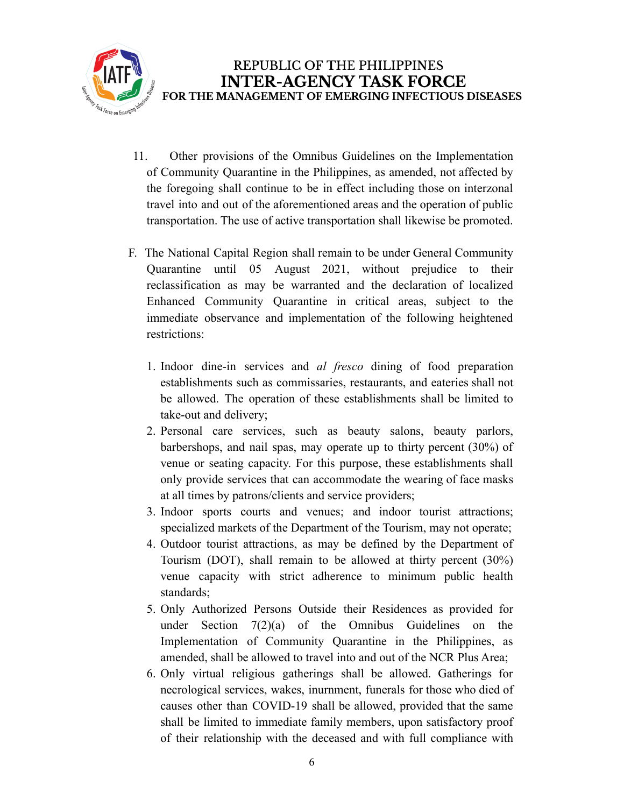

- 11. Other provisions of the Omnibus Guidelines on the Implementation of Community Quarantine in the Philippines, as amended, not affected by the foregoing shall continue to be in effect including those on interzonal travel into and out of the aforementioned areas and the operation of public transportation. The use of active transportation shall likewise be promoted.
- F. The National Capital Region shall remain to be under General Community Quarantine until 05 August 2021, without prejudice to their reclassification as may be warranted and the declaration of localized Enhanced Community Quarantine in critical areas, subject to the immediate observance and implementation of the following heightened restrictions:
	- 1. Indoor dine-in services and *al fresco* dining of food preparation establishments such as commissaries, restaurants, and eateries shall not be allowed. The operation of these establishments shall be limited to take-out and delivery;
	- 2. Personal care services, such as beauty salons, beauty parlors, barbershops, and nail spas, may operate up to thirty percent (30%) of venue or seating capacity. For this purpose, these establishments shall only provide services that can accommodate the wearing of face masks at all times by patrons/clients and service providers;
	- 3. Indoor sports courts and venues; and indoor tourist attractions; specialized markets of the Department of the Tourism, may not operate;
	- 4. Outdoor tourist attractions, as may be defined by the Department of Tourism (DOT), shall remain to be allowed at thirty percent (30%) venue capacity with strict adherence to minimum public health standards;
	- 5. Only Authorized Persons Outside their Residences as provided for under Section 7(2)(a) of the Omnibus Guidelines on the Implementation of Community Quarantine in the Philippines, as amended, shall be allowed to travel into and out of the NCR Plus Area;
	- 6. Only virtual religious gatherings shall be allowed. Gatherings for necrological services, wakes, inurnment, funerals for those who died of causes other than COVID-19 shall be allowed, provided that the same shall be limited to immediate family members, upon satisfactory proof of their relationship with the deceased and with full compliance with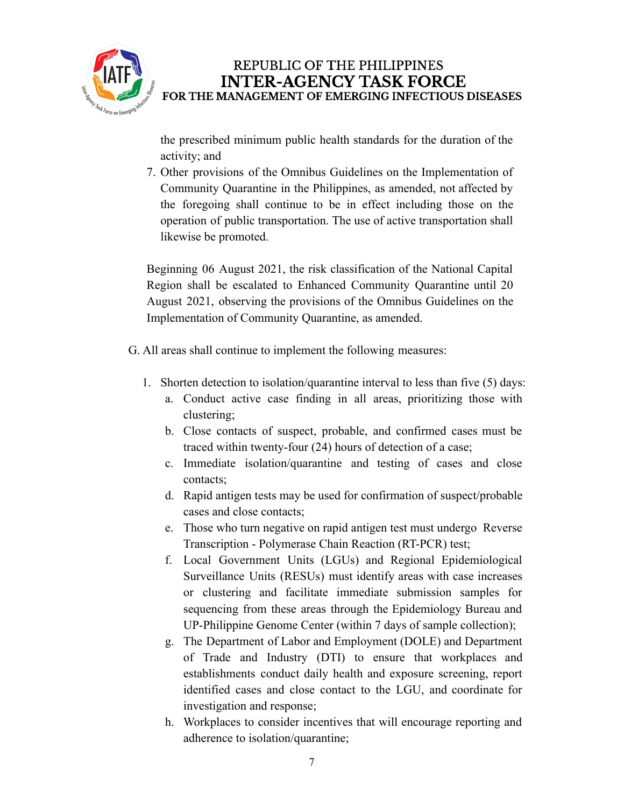

the prescribed minimum public health standards for the duration of the activity; and

7. Other provisions of the Omnibus Guidelines on the Implementation of Community Quarantine in the Philippines, as amended, not affected by the foregoing shall continue to be in effect including those on the operation of public transportation. The use of active transportation shall likewise be promoted.

Beginning 06 August 2021, the risk classification of the National Capital Region shall be escalated to Enhanced Community Quarantine until 20 August 2021, observing the provisions of the Omnibus Guidelines on the Implementation of Community Quarantine, as amended.

- G. All areas shall continue to implement the following measures:
	- 1. Shorten detection to isolation/quarantine interval to less than five (5) days:
		- a. Conduct active case finding in all areas, prioritizing those with clustering;
		- b. Close contacts of suspect, probable, and confirmed cases must be traced within twenty-four (24) hours of detection of a case;
		- c. Immediate isolation/quarantine and testing of cases and close contacts;
		- d. Rapid antigen tests may be used for confirmation of suspect/probable cases and close contacts;
		- e. Those who turn negative on rapid antigen test must undergo Reverse Transcription - Polymerase Chain Reaction (RT-PCR) test;
		- f. Local Government Units (LGUs) and Regional Epidemiological Surveillance Units (RESUs) must identify areas with case increases or clustering and facilitate immediate submission samples for sequencing from these areas through the Epidemiology Bureau and UP-Philippine Genome Center (within 7 days of sample collection);
		- g. The Department of Labor and Employment (DOLE) and Department of Trade and Industry (DTI) to ensure that workplaces and establishments conduct daily health and exposure screening, report identified cases and close contact to the LGU, and coordinate for investigation and response;
		- h. Workplaces to consider incentives that will encourage reporting and adherence to isolation/quarantine;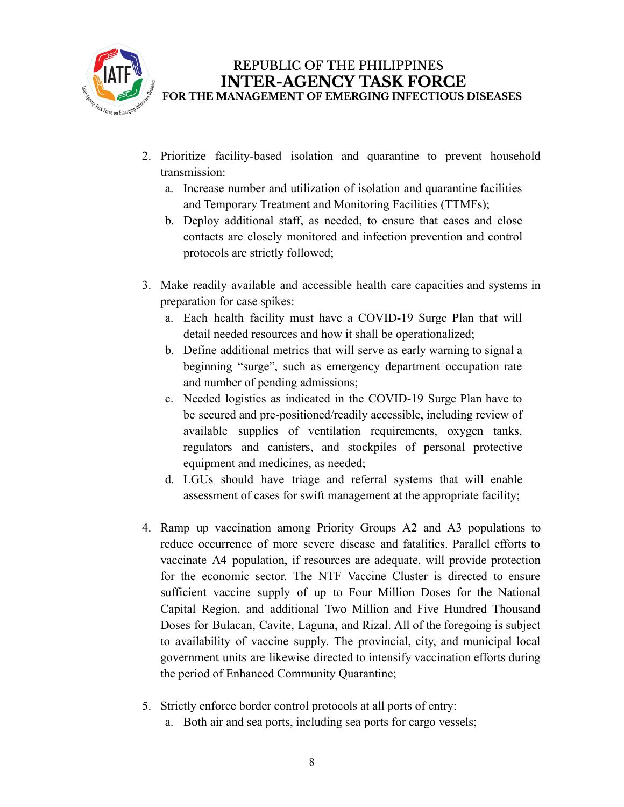

- 2. Prioritize facility-based isolation and quarantine to prevent household transmission:
	- a. Increase number and utilization of isolation and quarantine facilities and Temporary Treatment and Monitoring Facilities (TTMFs);
	- b. Deploy additional staff, as needed, to ensure that cases and close contacts are closely monitored and infection prevention and control protocols are strictly followed;
- 3. Make readily available and accessible health care capacities and systems in preparation for case spikes:
	- a. Each health facility must have a COVID-19 Surge Plan that will detail needed resources and how it shall be operationalized;
	- b. Define additional metrics that will serve as early warning to signal a beginning "surge", such as emergency department occupation rate and number of pending admissions;
	- c. Needed logistics as indicated in the COVID-19 Surge Plan have to be secured and pre-positioned/readily accessible, including review of available supplies of ventilation requirements, oxygen tanks, regulators and canisters, and stockpiles of personal protective equipment and medicines, as needed;
	- d. LGUs should have triage and referral systems that will enable assessment of cases for swift management at the appropriate facility;
- 4. Ramp up vaccination among Priority Groups A2 and A3 populations to reduce occurrence of more severe disease and fatalities. Parallel efforts to vaccinate A4 population, if resources are adequate, will provide protection for the economic sector. The NTF Vaccine Cluster is directed to ensure sufficient vaccine supply of up to Four Million Doses for the National Capital Region, and additional Two Million and Five Hundred Thousand Doses for Bulacan, Cavite, Laguna, and Rizal. All of the foregoing is subject to availability of vaccine supply. The provincial, city, and municipal local government units are likewise directed to intensify vaccination efforts during the period of Enhanced Community Quarantine;
- 5. Strictly enforce border control protocols at all ports of entry:
	- a. Both air and sea ports, including sea ports for cargo vessels;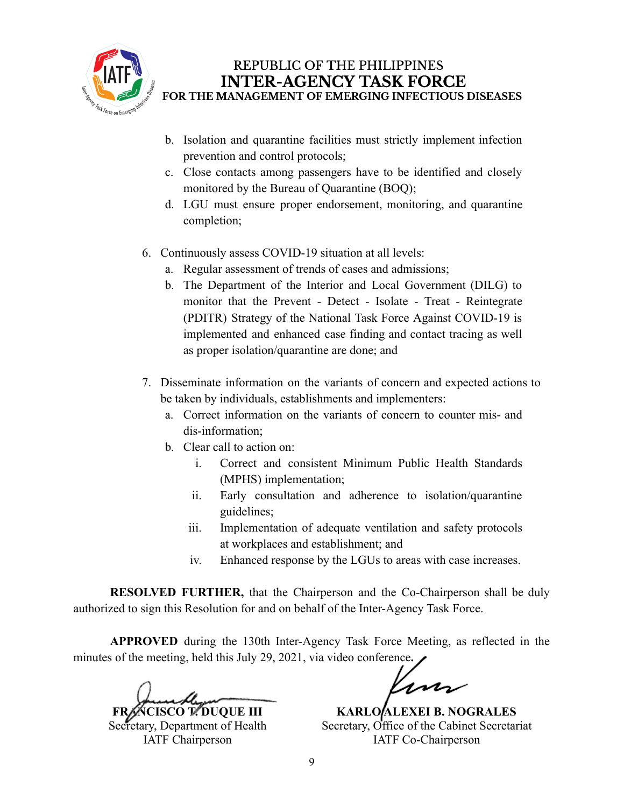

- b. Isolation and quarantine facilities must strictly implement infection prevention and control protocols;
- c. Close contacts among passengers have to be identified and closely monitored by the Bureau of Quarantine (BOQ);
- d. LGU must ensure proper endorsement, monitoring, and quarantine completion;
- 6. Continuously assess COVID-19 situation at all levels:
	- a. Regular assessment of trends of cases and admissions;
	- b. The Department of the Interior and Local Government (DILG) to monitor that the Prevent - Detect - Isolate - Treat - Reintegrate (PDITR) Strategy of the National Task Force Against COVID-19 is implemented and enhanced case finding and contact tracing as well as proper isolation/quarantine are done; and
- 7. Disseminate information on the variants of concern and expected actions to be taken by individuals, establishments and implementers:
	- a. Correct information on the variants of concern to counter mis- and dis-information;
	- b. Clear call to action on:
		- i. Correct and consistent Minimum Public Health Standards (MPHS) implementation;
		- ii. Early consultation and adherence to isolation/quarantine guidelines;
		- iii. Implementation of adequate ventilation and safety protocols at workplaces and establishment; and
		- iv. Enhanced response by the LGUs to areas with case increases.

**RESOLVED FURTHER,** that the Chairperson and the Co-Chairperson shall be duly authorized to sign this Resolution for and on behalf of the Inter-Agency Task Force.

**APPROVED** during the 130th Inter-Agency Task Force Meeting, as reflected in the minutes of the meeting, held this July 29, 2021, via video conference**.**

**FRANCISCO T. DUQUE III** Secretary, Department of Health IATF Chairperson

m

**KARLO ALEXEI B. NOGRALES** Secretary, Office of the Cabinet Secretariat IATF Co-Chairperson